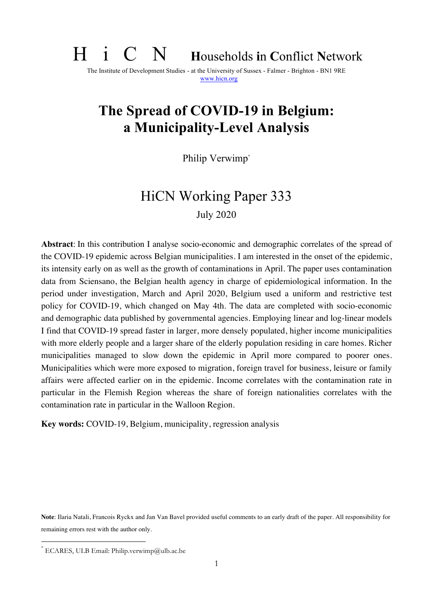# H i C N **<sup>H</sup>**ouseholds **i**n **C**onflict **<sup>N</sup>**etwork

The Institute of Development Studies - at the University of Sussex - Falmer - Brighton - BN1 9RE www.hicn.org

# **The Spread of COVID-19 in Belgium: a Municipality-Level Analysis**

Philip Verwimp\*

# HiCN Working Paper 333 July 2020

**Abstract**: In this contribution I analyse socio-economic and demographic correlates of the spread of the COVID-19 epidemic across Belgian municipalities. I am interested in the onset of the epidemic, its intensity early on as well as the growth of contaminations in April. The paper uses contamination data from Sciensano, the Belgian health agency in charge of epidemiological information. In the period under investigation, March and April 2020, Belgium used a uniform and restrictive test policy for COVID-19, which changed on May 4th. The data are completed with socio-economic and demographic data published by governmental agencies. Employing linear and log-linear models I find that COVID-19 spread faster in larger, more densely populated, higher income municipalities with more elderly people and a larger share of the elderly population residing in care homes. Richer municipalities managed to slow down the epidemic in April more compared to poorer ones. Municipalities which were more exposed to migration, foreign travel for business, leisure or family affairs were affected earlier on in the epidemic. Income correlates with the contamination rate in particular in the Flemish Region whereas the share of foreign nationalities correlates with the contamination rate in particular in the Walloon Region.

**Key words:** COVID-19, Belgium, municipality, regression analysis

**Note**: Ilaria Natali, Francois Ryckx and Jan Van Bavel provided useful comments to an early draft of the paper. All responsibility for remaining errors rest with the author only.

 $*$  ECARES, ULB Email: Philip.verwimp@ulb.ac.be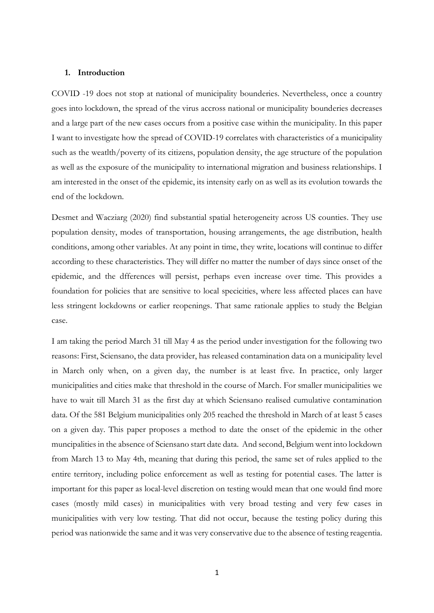#### **1. Introduction**

COVID -19 does not stop at national of municipality bounderies. Nevertheless, once a country goes into lockdown, the spread of the virus accross national or municipality bounderies decreases and a large part of the new cases occurs from a positive case within the municipality. In this paper I want to investigate how the spread of COVID-19 correlates with characteristics of a municipality such as the weatlth/poverty of its citizens, population density, the age structure of the population as well as the exposure of the municipality to international migration and business relationships. I am interested in the onset of the epidemic, its intensity early on as well as its evolution towards the end of the lockdown.

Desmet and Wacziarg (2020) find substantial spatial heterogeneity across US counties. They use population density, modes of transportation, housing arrangements, the age distribution, health conditions, among other variables. At any point in time, they write, locations will continue to differ according to these characteristics. They will differ no matter the number of days since onset of the epidemic, and the dfferences will persist, perhaps even increase over time. This provides a foundation for policies that are sensitive to local specicities, where less affected places can have less stringent lockdowns or earlier reopenings. That same rationale applies to study the Belgian case.

I am taking the period March 31 till May 4 as the period under investigation for the following two reasons: First, Sciensano, the data provider, has released contamination data on a municipality level in March only when, on a given day, the number is at least five. In practice, only larger municipalities and cities make that threshold in the course of March. For smaller municipalities we have to wait till March 31 as the first day at which Sciensano realised cumulative contamination data. Of the 581 Belgium municipalities only 205 reached the threshold in March of at least 5 cases on a given day. This paper proposes a method to date the onset of the epidemic in the other muncipalities in the absence of Sciensano start date data. And second, Belgium went into lockdown from March 13 to May 4th, meaning that during this period, the same set of rules applied to the entire territory, including police enforcement as well as testing for potential cases. The latter is important for this paper as local-level discretion on testing would mean that one would find more cases (mostly mild cases) in municipalities with very broad testing and very few cases in municipalities with very low testing. That did not occur, because the testing policy during this period was nationwide the same and it was very conservative due to the absence of testing reagentia.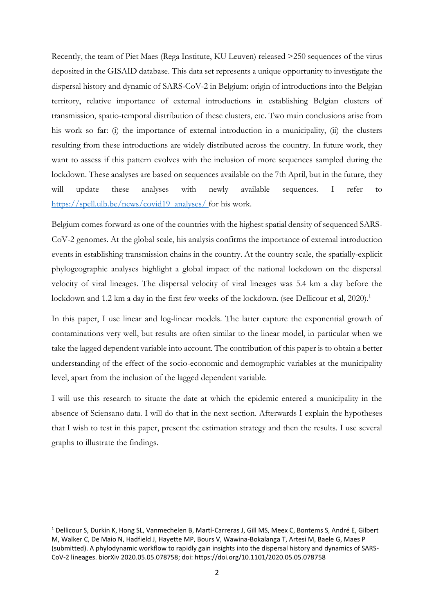Recently, the team of Piet Maes (Rega Institute, KU Leuven) released >250 sequences of the virus deposited in the GISAID database. This data set represents a unique opportunity to investigate the dispersal history and dynamic of SARS-CoV-2 in Belgium: origin of introductions into the Belgian territory, relative importance of external introductions in establishing Belgian clusters of transmission, spatio-temporal distribution of these clusters, etc. Two main conclusions arise from his work so far: (i) the importance of external introduction in a municipality, (ii) the clusters resulting from these introductions are widely distributed across the country. In future work, they want to assess if this pattern evolves with the inclusion of more sequences sampled during the lockdown. These analyses are based on sequences available on the 7th April, but in the future, they will update these analyses with newly available sequences. I refer to [https://spell.ulb.be/news/covid19\\_analyses/](https://spell.ulb.be/news/covid19_analyses/) for his work.

Belgium comes forward as one of the countries with the highest spatial density of sequenced SARS-CoV-2 genomes. At the global scale, his analysis confirms the importance of external introduction events in establishing transmission chains in the country. At the country scale, the spatially-explicit phylogeographic analyses highlight a global impact of the national lockdown on the dispersal velocity of viral lineages. The dispersal velocity of viral lineages was 5.4 km a day before the lockdown and 1.2 km a day in the first few weeks of the lockdown. (see Dellicour et al, 2020).<sup>1</sup>

In this paper, I use linear and log-linear models. The latter capture the exponential growth of contaminations very well, but results are often similar to the linear model, in particular when we take the lagged dependent variable into account. The contribution of this paper is to obtain a better understanding of the effect of the socio-economic and demographic variables at the municipality level, apart from the inclusion of the lagged dependent variable.

I will use this research to situate the date at which the epidemic entered a municipality in the absence of Sciensano data. I will do that in the next section. Afterwards I explain the hypotheses that I wish to test in this paper, present the estimation strategy and then the results. I use several graphs to illustrate the findings.

<sup>1</sup> Dellicour S, Durkin K, Hong SL, Vanmechelen B, Martí-Carreras J, Gill MS, Meex C, Bontems S, André E, Gilbert M, Walker C, De Maio N, Hadfield J, Hayette MP, Bours V, Wawina-Bokalanga T, Artesi M, Baele G, Maes P (submitted). A phylodynamic workflow to rapidly gain insights into the dispersal history and dynamics of SARS-CoV-2 lineages. biorXiv 2020.05.05.078758; doi: https://doi.org/10.1101/2020.05.05.078758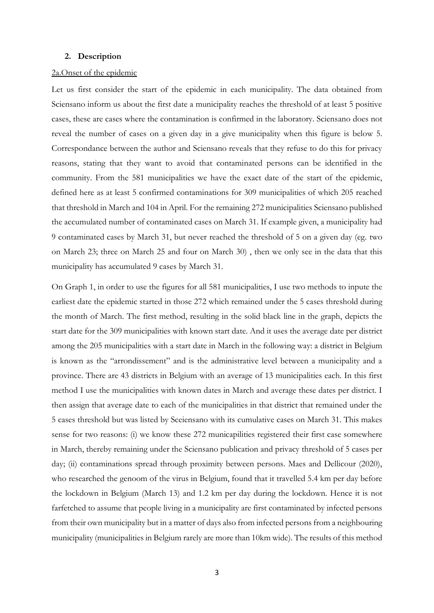#### **2. Description**

#### 2a.Onset of the epidemic

Let us first consider the start of the epidemic in each municipality. The data obtained from Sciensano inform us about the first date a municipality reaches the threshold of at least 5 positive cases, these are cases where the contamination is confirmed in the laboratory. Sciensano does not reveal the number of cases on a given day in a give municipality when this figure is below 5. Correspondance between the author and Sciensano reveals that they refuse to do this for privacy reasons, stating that they want to avoid that contaminated persons can be identified in the community. From the 581 municipalities we have the exact date of the start of the epidemic, defined here as at least 5 confirmed contaminations for 309 municipalities of which 205 reached that threshold in March and 104 in April. For the remaining 272 municipalities Sciensano published the accumulated number of contaminated cases on March 31. If example given, a municipality had 9 contaminated cases by March 31, but never reached the threshold of 5 on a given day (eg. two on March 23; three on March 25 and four on March 30) , then we only see in the data that this municipality has accumulated 9 cases by March 31.

On Graph 1, in order to use the figures for all 581 municipalities, I use two methods to inpute the earliest date the epidemic started in those 272 which remained under the 5 cases threshold during the month of March. The first method, resulting in the solid black line in the graph, depicts the start date for the 309 municipalities with known start date. And it uses the average date per district among the 205 municipalities with a start date in March in the following way: a district in Belgium is known as the "arrondissement" and is the administrative level between a municipality and a province. There are 43 districts in Belgium with an average of 13 municipalities each. In this first method I use the municipalities with known dates in March and average these dates per district. I then assign that average date to each of the municipalities in that district that remained under the 5 cases threshold but was listed by Sceiensano with its cumulative cases on March 31. This makes sense for two reasons: (i) we know these 272 municapilities registered their first case somewhere in March, thereby remaining under the Sciensano publication and privacy threshold of 5 cases per day; (ii) contaminations spread through proximity between persons. Maes and Dellicour (2020), who researched the genoom of the virus in Belgium, found that it travelled 5.4 km per day before the lockdown in Belgium (March 13) and 1.2 km per day during the lockdown. Hence it is not farfetched to assume that people living in a municipality are first contaminated by infected persons from their own municipality but in a matter of days also from infected persons from a neighbouring municipality (municipalities in Belgium rarely are more than 10km wide). The results of this method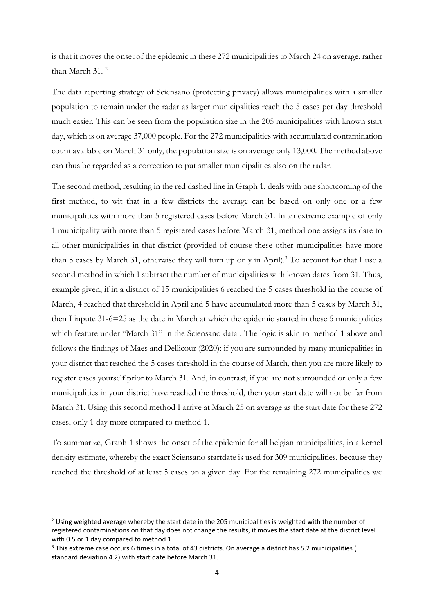is that it moves the onset of the epidemic in these 272 municipalities to March 24 on average, rather than March 31. 2

The data reporting strategy of Sciensano (protecting privacy) allows municipalities with a smaller population to remain under the radar as larger municipalities reach the 5 cases per day threshold much easier. This can be seen from the population size in the 205 municipalities with known start day, which is on average 37,000 people. For the 272 municipalities with accumulated contamination count available on March 31 only, the population size is on average only 13,000. The method above can thus be regarded as a correction to put smaller municipalities also on the radar.

The second method, resulting in the red dashed line in Graph 1, deals with one shortcoming of the first method, to wit that in a few districts the average can be based on only one or a few municipalities with more than 5 registered cases before March 31. In an extreme example of only 1 municipality with more than 5 registered cases before March 31, method one assigns its date to all other municipalities in that district (provided of course these other municipalities have more than 5 cases by March 31, otherwise they will turn up only in April).<sup>3</sup> To account for that I use a second method in which I subtract the number of municipalities with known dates from 31. Thus, example given, if in a district of 15 municipalities 6 reached the 5 cases threshold in the course of March, 4 reached that threshold in April and 5 have accumulated more than 5 cases by March 31, then I inpute 31-6=25 as the date in March at which the epidemic started in these 5 municipalities which feature under "March 31" in the Sciensano data . The logic is akin to method 1 above and follows the findings of Maes and Dellicour (2020): if you are surrounded by many municpalities in your district that reached the 5 cases threshold in the course of March, then you are more likely to register cases yourself prior to March 31. And, in contrast, if you are not surrounded or only a few municipalities in your district have reached the threshold, then your start date will not be far from March 31. Using this second method I arrive at March 25 on average as the start date for these 272 cases, only 1 day more compared to method 1.

To summarize, Graph 1 shows the onset of the epidemic for all belgian municipalities, in a kernel density estimate, whereby the exact Sciensano startdate is used for 309 municipalities, because they reached the threshold of at least 5 cases on a given day. For the remaining 272 municipalities we

 $2$  Using weighted average whereby the start date in the 205 municipalities is weighted with the number of registered contaminations on that day does not change the results, it moves the start date at the district level with 0.5 or 1 day compared to method 1.

<sup>&</sup>lt;sup>3</sup> This extreme case occurs 6 times in a total of 43 districts. On average a district has 5.2 municipalities ( standard deviation 4.2) with start date before March 31.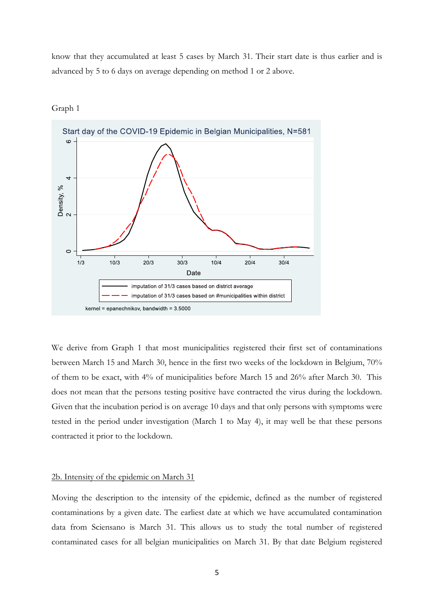know that they accumulated at least 5 cases by March 31. Their start date is thus earlier and is advanced by 5 to 6 days on average depending on method 1 or 2 above.



Graph 1

We derive from Graph 1 that most municipalities registered their first set of contaminations between March 15 and March 30, hence in the first two weeks of the lockdown in Belgium, 70% of them to be exact, with 4% of municipalities before March 15 and 26% after March 30. This does not mean that the persons testing positive have contracted the virus during the lockdown. Given that the incubation period is on average 10 days and that only persons with symptoms were tested in the period under investigation (March 1 to May 4), it may well be that these persons contracted it prior to the lockdown.

#### 2b. Intensity of the epidemic on March 31

Moving the description to the intensity of the epidemic, defined as the number of registered contaminations by a given date. The earliest date at which we have accumulated contamination data from Sciensano is March 31. This allows us to study the total number of registered contaminated cases for all belgian municipalities on March 31. By that date Belgium registered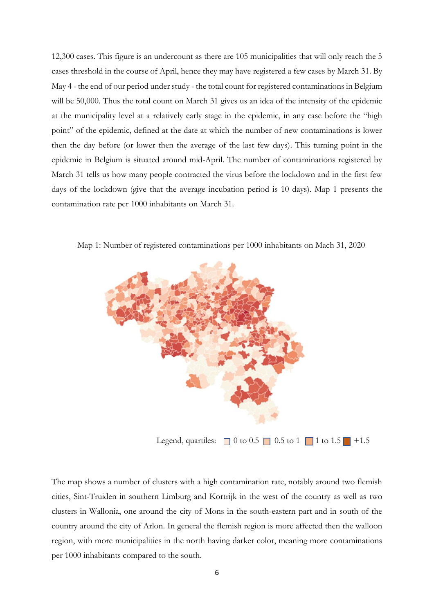12,300 cases. This figure is an undercount as there are 105 municipalities that will only reach the 5 cases threshold in the course of April, hence they may have registered a few cases by March 31. By May 4 - the end of our period under study - the total count for registered contaminations in Belgium will be 50,000. Thus the total count on March 31 gives us an idea of the intensity of the epidemic at the municipality level at a relatively early stage in the epidemic, in any case before the "high point" of the epidemic, defined at the date at which the number of new contaminations is lower then the day before (or lower then the average of the last few days). This turning point in the epidemic in Belgium is situated around mid-April. The number of contaminations registered by March 31 tells us how many people contracted the virus before the lockdown and in the first few days of the lockdown (give that the average incubation period is 10 days). Map 1 presents the contamination rate per 1000 inhabitants on March 31.



Map 1: Number of registered contaminations per 1000 inhabitants on Mach 31, 2020

Legend, quartiles:  $\Box$  0 to 0.5  $\Box$  0.5 to 1  $\Box$  1 to 1.5  $\Box$  +1.5

The map shows a number of clusters with a high contamination rate, notably around two flemish cities, Sint-Truiden in southern Limburg and Kortrijk in the west of the country as well as two clusters in Wallonia, one around the city of Mons in the south-eastern part and in south of the country around the city of Arlon. In general the flemish region is more affected then the walloon region, with more municipalities in the north having darker color, meaning more contaminations per 1000 inhabitants compared to the south.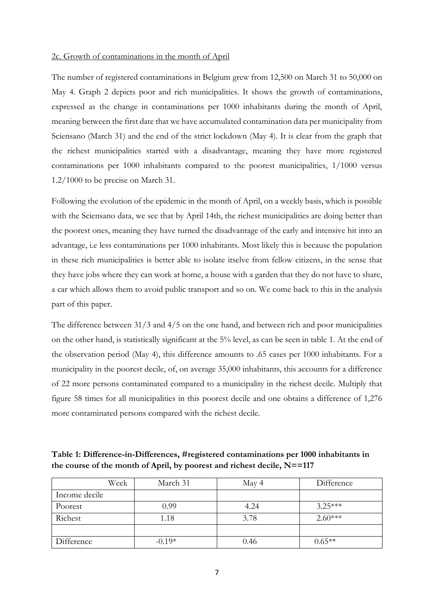#### 2c. Growth of contaminations in the month of April

The number of registered contaminations in Belgium grew from 12,500 on March 31 to 50,000 on May 4. Graph 2 depicts poor and rich municipalities. It shows the growth of contaminations, expressed as the change in contaminations per 1000 inhabitants during the month of April, meaning between the first date that we have accumulated contamination data per municipality from Sciensano (March 31) and the end of the strict lockdown (May 4). It is clear from the graph that the richest municipalities started with a disadvantage, meaning they have more registered contaminations per 1000 inhabitants compared to the poorest municipalities, 1/1000 versus 1.2/1000 to be precise on March 31.

Following the evolution of the epidemic in the month of April, on a weekly basis, which is possible with the Sciensano data, we see that by April 14th, the richest municipalities are doing better than the poorest ones, meaning they have turned the disadvantage of the early and intensive hit into an advantage, i.e less contaminations per 1000 inhabitants. Most likely this is because the population in these rich municipalities is better able to isolate itselve from fellow citizens, in the sense that they have jobs where they can work at home, a house with a garden that they do not have to share, a car which allows them to avoid public transport and so on. We come back to this in the analysis part of this paper.

The difference between 31/3 and 4/5 on the one hand, and between rich and poor municipalities on the other hand, is statistically significant at the 5% level, as can be seen in table 1. At the end of the observation period (May 4), this difference amounts to .65 cases per 1000 inhabitants. For a municipality in the poorest decile, of, on average 35,000 inhabitants, this accounts for a difference of 22 more persons contaminated compared to a municipality in the richest decile. Multiply that figure 58 times for all municipalities in this poorest decile and one obtains a difference of 1,276 more contaminated persons compared with the richest decile.

**Table 1: Difference-in-Differences, #registered contaminations per 1000 inhabitants in the course of the month of April, by poorest and richest decile, N==117**

| Week          | March 31 | May 4 | Difference |
|---------------|----------|-------|------------|
| Income decile |          |       |            |
| Poorest       | 0.99     | 4.24  | $3.25***$  |
| Richest       | 1.18     | 3.78  | $2.60***$  |
|               |          |       |            |
| Difference    | $-0.19*$ | 0.46  | $0.65**$   |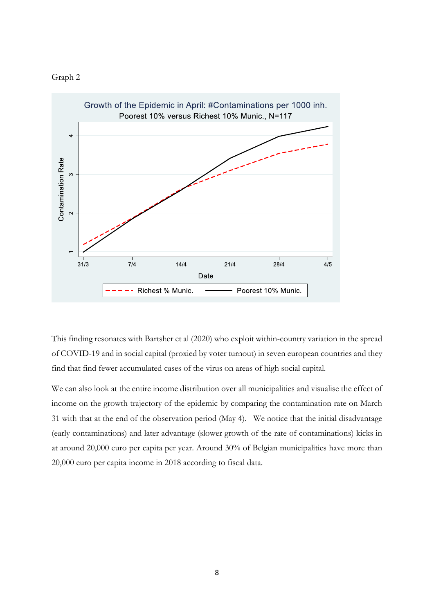



This finding resonates with Bartsher et al (2020) who exploit within-country variation in the spread of COVID-19 and in social capital (proxied by voter turnout) in seven european countries and they find that find fewer accumulated cases of the virus on areas of high social capital.

We can also look at the entire income distribution over all municipalities and visualise the effect of income on the growth trajectory of the epidemic by comparing the contamination rate on March 31 with that at the end of the observation period (May 4). We notice that the initial disadvantage (early contaminations) and later advantage (slower growth of the rate of contaminations) kicks in at around 20,000 euro per capita per year. Around 30% of Belgian municipalities have more than 20,000 euro per capita income in 2018 according to fiscal data.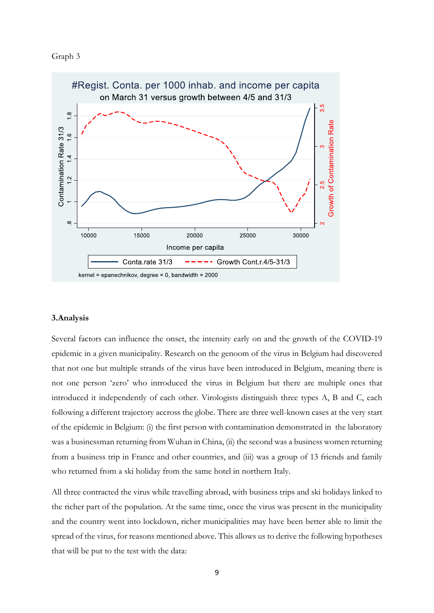



#### **3.Analysis**

Several factors can influence the onset, the intensity early on and the growth of the COVID-19 epidemic in a given municipality. Research on the genoom of the virus in Belgium had discovered that not one but multiple strands of the virus have been introduced in Belgium, meaning there is not one person 'zero' who introduced the virus in Belgium but there are multiple ones that introduced it independently of each other. Virologists distinguish three types A, B and C, each following a different trajectory accross the globe. There are three well-known cases at the very start of the epidemic in Belgium: (i) the first person with contamination demonstrated in the laboratory was a businessman returning from Wuhan in China, (ii) the second was a business women returning from a business trip in France and other countries, and (iii) was a group of 13 friends and family who returned from a ski holiday from the same hotel in northern Italy.

All three contracted the virus while travelling abroad, with business trips and ski holidays linked to the richer part of the population. At the same time, once the virus was present in the municipality and the country went into lockdown, richer municipalities may have been better able to limit the spread of the virus, for reasons mentioned above. This allows us to derive the following hypotheses that will be put to the test with the data: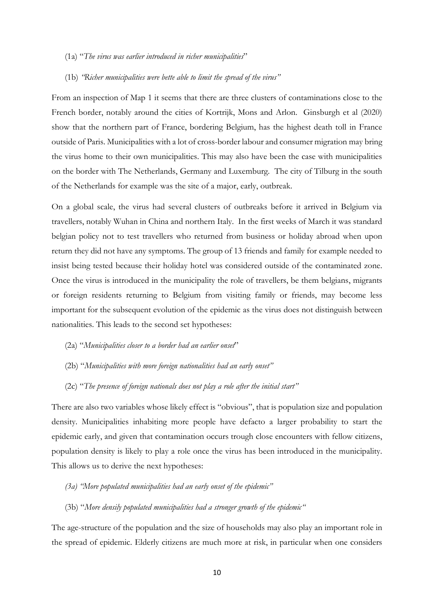- (1a) "*The virus was earlier introduced in richer municipalities*"
- (1b) *"Richer municipalities were bette able to limit the spread of the virus"*

From an inspection of Map 1 it seems that there are three clusters of contaminations close to the French border, notably around the cities of Kortrijk, Mons and Arlon. Ginsburgh et al (2020) show that the northern part of France, bordering Belgium, has the highest death toll in France outside of Paris. Municipalities with a lot of cross-border labour and consumer migration may bring the virus home to their own municipalities. This may also have been the case with municipalities on the border with The Netherlands, Germany and Luxemburg. The city of Tilburg in the south of the Netherlands for example was the site of a major, early, outbreak.

On a global scale, the virus had several clusters of outbreaks before it arrived in Belgium via travellers, notably Wuhan in China and northern Italy. In the first weeks of March it was standard belgian policy not to test travellers who returned from business or holiday abroad when upon return they did not have any symptoms. The group of 13 friends and family for example needed to insist being tested because their holiday hotel was considered outside of the contaminated zone. Once the virus is introduced in the municipality the role of travellers, be them belgians, migrants or foreign residents returning to Belgium from visiting family or friends, may become less important for the subsequent evolution of the epidemic as the virus does not distinguish between nationalities. This leads to the second set hypotheses:

- (2a) "*Municipalities closer to a border had an earlier onset*"
- (2b) "*Municipalities with more foreign nationalities had an early onset"*
- (2c) "*The presence of foreign nationals does not play a role after the initial start"*

There are also two variables whose likely effect is "obvious", that is population size and population density. Municipalities inhabiting more people have defacto a larger probability to start the epidemic early, and given that contamination occurs trough close encounters with fellow citizens, population density is likely to play a role once the virus has been introduced in the municipality. This allows us to derive the next hypotheses:

- *(3a) "More populated municipalities had an early onset of the epidemic"*
- (3b) "*More densily populated municipalities had a stronger growth of the epidemic"*

The age-structure of the population and the size of households may also play an important role in the spread of epidemic. Elderly citizens are much more at risk, in particular when one considers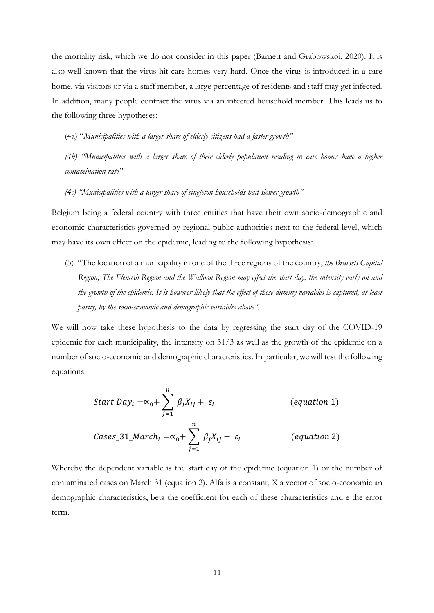the mortality risk, which we do not consider in this paper (Barnett and Grabowskoi, 2020). It is also well-known that the virus hit care homes very hard. Once the virus is introduced in a care home, via visitors or via a staff member, a large percentage of residents and staff may get infected. In addition, many people contract the virus via an infected household member. This leads us to the following three hypotheses:

(4a) "*Municipalities with a larger share of elderly citizens had a faster growth"*

*(4b) "Municipalities with a larger share of their elderly population residing in care homes have a higher contamination rate"*

*(4c) "Municipalities with a larger share of singleton households had slower growth"*

Belgium being a federal country with three entities that have their own socio-demographic and economic characteristics governed by regional public authorities next to the federal level, which may have its own effect on the epidemic, leading to the following hypothesis:

(5) "The location of a municipality in one of the three regions of the country, *the Brussels Capital Region, The Flemish Region and the Walloon Region may effect the start day, the intensity early on and the growth of the epidemic. It is however likely that the effect of these dummy variables is captured, at least partly, by the socio-economic and demographic variables above".*

We will now take these hypothesis to the data by regressing the start day of the COVID-19 epidemic for each municipality, the intensity on 31/3 as well as the growth of the epidemic on a number of socio-economic and demographic characteristics. In particular, we will test the following equations:

Start Day<sub>i</sub> = 
$$
\alpha_0 + \sum_{j=1}^{n} \beta_j X_{ij} + \varepsilon_i
$$
 (equation 1)  
\nCaseS\_31\_March<sub>i</sub> =  $\alpha_0 + \sum_{j=1}^{n} \beta_j X_{ij} + \varepsilon_i$  (equation 2)

Whereby the dependent variable is the start day of the epidemic (equation 1) or the number of contaminated cases on March 31 (equation 2). Alfa is a constant, X a vector of socio-economic an demographic characteristics, beta the coefficient for each of these characteristics and e the error term.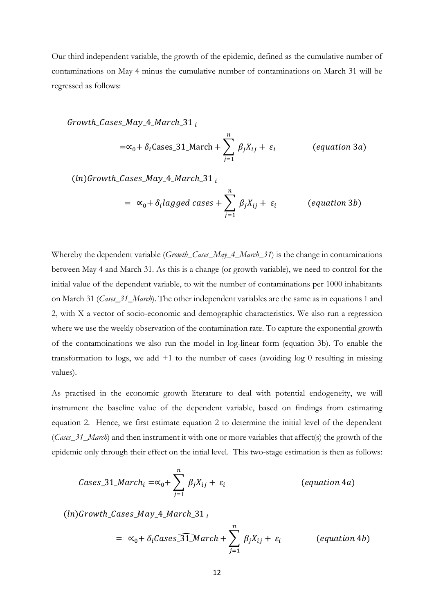Our third independent variable, the growth of the epidemic, defined as the cumulative number of contaminations on May 4 minus the cumulative number of contaminations on March 31 will be regressed as follows:

$$
Growth\_Gases\_May\_4\_March\_31_{i}
$$
\n
$$
=\infty_{0} + \delta_{i} \text{Gases}\_31\_March + \sum_{j=1}^{n} \beta_{j}X_{ij} + \varepsilon_{i} \qquad \text{(equation 3a)}
$$
\n
$$
(ln) Growth\_Gases\_May\_4\_March\_31_{i}
$$

$$
= \alpha_0 + \delta_i lagged \ cases + \sum_{j=1}^{\infty} \beta_j X_{ij} + \varepsilon_i \qquad (equation 3b)
$$

Whereby the dependent variable (*Growth Cases May 4 March 31*) is the change in contaminations between May 4 and March 31. As this is a change (or growth variable), we need to control for the initial value of the dependent variable, to wit the number of contaminations per 1000 inhabitants on March 31 (*Cases\_31\_March*). The other independent variables are the same as in equations 1 and 2, with X a vector of socio-economic and demographic characteristics. We also run a regression where we use the weekly observation of the contamination rate. To capture the exponential growth of the contamoinations we also run the model in log-linear form (equation 3b). To enable the transformation to logs, we add +1 to the number of cases (avoiding log 0 resulting in missing values).

As practised in the economic growth literature to deal with potential endogeneity, we will instrument the baseline value of the dependent variable, based on findings from estimating equation 2. Hence, we first estimate equation 2 to determine the initial level of the dependent (*Cases\_31\_March*) and then instrument it with one or more variables that affect(s) the growth of the epidemic only through their effect on the intial level. This two-stage estimation is then as follows:

*Cases*<sub>-31</sub>*March*<sub>*i*</sub> = 
$$
\alpha_0 + \sum_{j=1}^{n} \beta_j X_{ij} + \varepsilon_i
$$
 (*equation 4a*)

 $(ln)$ Growth\_Cases\_May\_4\_March\_31,

$$
= \alpha_0 + \delta_i \text{Cases} \boxed{31} \text{March} + \sum_{j=1}^n \beta_j X_{ij} + \varepsilon_i \qquad \text{(equation 4b)}
$$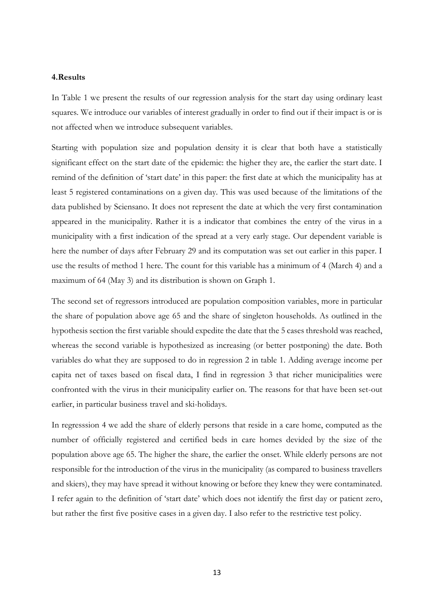### **4.Results**

In Table 1 we present the results of our regression analysis for the start day using ordinary least squares. We introduce our variables of interest gradually in order to find out if their impact is or is not affected when we introduce subsequent variables.

Starting with population size and population density it is clear that both have a statistically significant effect on the start date of the epidemic: the higher they are, the earlier the start date. I remind of the definition of 'start date' in this paper: the first date at which the municipality has at least 5 registered contaminations on a given day. This was used because of the limitations of the data published by Sciensano. It does not represent the date at which the very first contamination appeared in the municipality. Rather it is a indicator that combines the entry of the virus in a municipality with a first indication of the spread at a very early stage. Our dependent variable is here the number of days after February 29 and its computation was set out earlier in this paper. I use the results of method 1 here. The count for this variable has a minimum of 4 (March 4) and a maximum of 64 (May 3) and its distribution is shown on Graph 1.

The second set of regressors introduced are population composition variables, more in particular the share of population above age 65 and the share of singleton households. As outlined in the hypothesis section the first variable should expedite the date that the 5 cases threshold was reached, whereas the second variable is hypothesized as increasing (or better postponing) the date. Both variables do what they are supposed to do in regression 2 in table 1. Adding average income per capita net of taxes based on fiscal data, I find in regression 3 that richer municipalities were confronted with the virus in their municipality earlier on. The reasons for that have been set-out earlier, in particular business travel and ski-holidays.

In regresssion 4 we add the share of elderly persons that reside in a care home, computed as the number of officially registered and certified beds in care homes devided by the size of the population above age 65. The higher the share, the earlier the onset. While elderly persons are not responsible for the introduction of the virus in the municipality (as compared to business travellers and skiers), they may have spread it without knowing or before they knew they were contaminated. I refer again to the definition of 'start date' which does not identify the first day or patient zero, but rather the first five positive cases in a given day. I also refer to the restrictive test policy.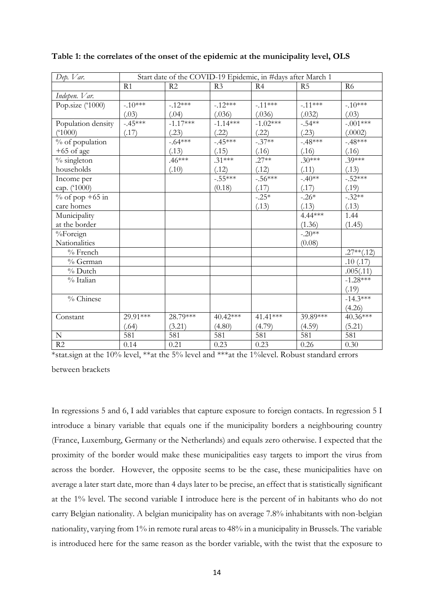| Dep. Var.          | Start date of the COVID-19 Epidemic, in #days after March 1 |            |                |            |           |                |
|--------------------|-------------------------------------------------------------|------------|----------------|------------|-----------|----------------|
|                    | R1                                                          | R2         | R <sub>3</sub> | R4         | R5        | R <sub>6</sub> |
| Indepen. Var.      |                                                             |            |                |            |           |                |
| Pop.size ('1000)   | $-.10***$                                                   | $-12***$   | $-12***$       | $-.11***$  | $-.11***$ | $-10^{***}$    |
|                    | (.03)                                                       | (.04)      | (.036)         | (.036)     | (.032)    | (.03)          |
| Population density | $-.45***$                                                   | $-1.17***$ | $-1.14***$     | $-1.02***$ | $-.54**$  | $-.001***$     |
| (1000)             | (.17)                                                       | (.23)      | (.22)          | (.22)      | (.23)     | (.0002)        |
| % of population    |                                                             | $-.64***$  | $-.45***$      | $-.37**$   | $-48**$   | $-48***$       |
| $+65$ of age       |                                                             | (.13)      | (.15)          | (.16)      | (.16)     | (.16)          |
| $%$ singleton      |                                                             | $.46***$   | $.31***$       | $.27**$    | $.30***$  | $.39***$       |
| households         |                                                             | (.10)      | (.12)          | (.12)      | (.11)     | (.13)          |
| Income per         |                                                             |            | $-.55***$      | $-.56***$  | $-.40**$  | $-.52***$      |
| cap. ('1000)       |                                                             |            | (0.18)         | (.17)      | (.17)     | (.19)          |
| $%$ of pop +65 in  |                                                             |            |                | $-.25*$    | $-.26*$   | $-.32**$       |
| care homes         |                                                             |            |                | (.13)      | (.13)     | (.13)          |
| Municipality       |                                                             |            |                |            | $4.44***$ | 1.44           |
| at the border      |                                                             |            |                |            | (1.36)    | (1.45)         |
| %Foreign           |                                                             |            |                |            | $-.20**$  |                |
| Nationalities      |                                                             |            |                |            | (0.08)    |                |
| $%$ French         |                                                             |            |                |            |           | $.27**(.12)$   |
| % German           |                                                             |            |                |            |           | .10(.17)       |
| $%$ Dutch          |                                                             |            |                |            |           | .005(.11)      |
| $\%$ Italian       |                                                             |            |                |            |           | $-1.28***$     |
|                    |                                                             |            |                |            |           | (.19)          |
| % Chinese          |                                                             |            |                |            |           | $-14.3***$     |
|                    |                                                             |            |                |            |           | (4.26)         |
| Constant           | 29.91***                                                    | 28.79***   | 40.42***       | $41.41***$ | 39.89***  | 40.36***       |
|                    | (.64)                                                       | (3.21)     | (4.80)         | (4.79)     | (4.59)    | (5.21)         |
| ${\bf N}$          | 581                                                         | 581        | 581            | 581        | 581       | 581            |
| R2                 | 0.14                                                        | 0.21       | 0.23           | 0.23       | 0.26      | 0.30           |

**Table 1: the correlates of the onset of the epidemic at the municipality level, OLS**

\*stat.sign at the 10% level, \*\*at the 5% level and \*\*\*at the 1%level. Robust standard errors

between brackets

In regressions 5 and 6, I add variables that capture exposure to foreign contacts. In regression 5 I introduce a binary variable that equals one if the municipality borders a neighbouring country (France, Luxemburg, Germany or the Netherlands) and equals zero otherwise. I expected that the proximity of the border would make these municipalities easy targets to import the virus from across the border. However, the opposite seems to be the case, these municipalities have on average a later start date, more than 4 days later to be precise, an effect that is statistically significant at the 1% level. The second variable I introduce here is the percent of in habitants who do not carry Belgian nationality. A belgian municipality has on average 7.8% inhabitants with non-belgian nationality, varying from 1% in remote rural areas to 48% in a municipality in Brussels. The variable is introduced here for the same reason as the border variable, with the twist that the exposure to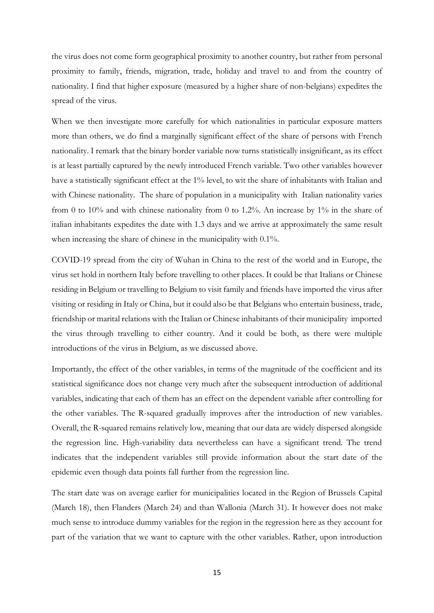the virus does not come form geographical proximity to another country, but rather from personal proximity to family, friends, migration, trade, holiday and travel to and from the country of nationality. I find that higher exposure (measured by a higher share of non-belgians) expedites the spread of the virus.

When we then investigate more carefully for which nationalities in particular exposure matters more than others, we do find a marginally significant effect of the share of persons with French nationality. I remark that the binary border variable now turns statistically insignificant, as its effect is at least partially captured by the newly introduced French variable. Two other variables however have a statistically significant effect at the 1% level, to wit the share of inhabitants with Italian and with Chinese nationality. The share of population in a municipality with Italian nationality varies from 0 to 10% and with chinese nationality from 0 to 1.2%. An increase by 1% in the share of italian inhabitants expedites the date with 1.3 days and we arrive at approximately the same result when increasing the share of chinese in the municipality with 0.1%.

COVID-19 spread from the city of Wuhan in China to the rest of the world and in Europe, the virus set hold in northern Italy before travelling to other places. It could be that Italians or Chinese residing in Belgium or travelling to Belgium to visit family and friends have imported the virus after visiting or residing in Italy or China, but it could also be that Belgians who entertain business, trade, friendship or marital relations with the Italian or Chinese inhabitants of their municipality imported the virus through travelling to either country. And it could be both, as there were multiple introductions of the virus in Belgium, as we discussed above.

Importantly, the effect of the other variables, in terms of the magnitude of the coefficient and its statistical significance does not change very much after the subsequent introduction of additional variables, indicating that each of them has an effect on the dependent variable after controlling for the other variables. The R-squared gradually improves after the introduction of new variables. Overall, the R-squared remains relatively low, meaning that our data are widely dispersed alongside the regression line. High-variability data nevertheless can have a significant trend. The trend indicates that the independent variables still provide information about the start date of the epidemic even though data points fall further from the regression line.

The start date was on average earlier for municipalities located in the Region of Brussels Capital (March 18), then Flanders (March 24) and than Wallonia (March 31). It however does not make much sense to introduce dummy variables for the region in the regression here as they account for part of the variation that we want to capture with the other variables. Rather, upon introduction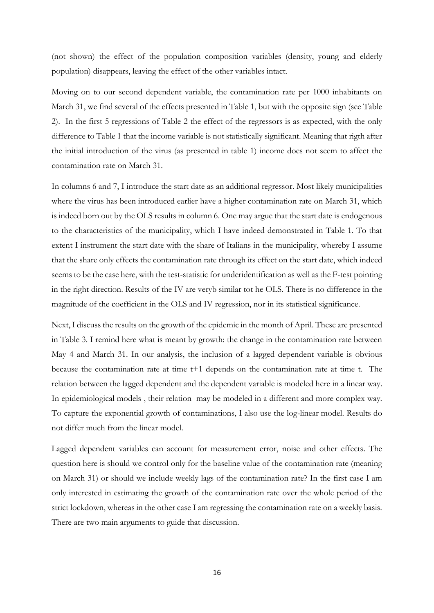(not shown) the effect of the population composition variables (density, young and elderly population) disappears, leaving the effect of the other variables intact.

Moving on to our second dependent variable, the contamination rate per 1000 inhabitants on March 31, we find several of the effects presented in Table 1, but with the opposite sign (see Table 2). In the first 5 regressions of Table 2 the effect of the regressors is as expected, with the only difference to Table 1 that the income variable is not statistically significant. Meaning that rigth after the initial introduction of the virus (as presented in table 1) income does not seem to affect the contamination rate on March 31.

In columns 6 and 7, I introduce the start date as an additional regressor. Most likely municipalities where the virus has been introduced earlier have a higher contamination rate on March 31, which is indeed born out by the OLS results in column 6. One may argue that the start date is endogenous to the characteristics of the municipality, which I have indeed demonstrated in Table 1. To that extent I instrument the start date with the share of Italians in the municipality, whereby I assume that the share only effects the contamination rate through its effect on the start date, which indeed seems to be the case here, with the test-statistic for underidentification as well as the F-test pointing in the right direction. Results of the IV are veryb similar tot he OLS. There is no difference in the magnitude of the coefficient in the OLS and IV regression, nor in its statistical significance.

Next, I discuss the results on the growth of the epidemic in the month of April. These are presented in Table 3. I remind here what is meant by growth: the change in the contamination rate between May 4 and March 31. In our analysis, the inclusion of a lagged dependent variable is obvious because the contamination rate at time t+1 depends on the contamination rate at time t. The relation between the lagged dependent and the dependent variable is modeled here in a linear way. In epidemiological models , their relation may be modeled in a different and more complex way. To capture the exponential growth of contaminations, I also use the log-linear model. Results do not differ much from the linear model.

Lagged dependent variables can account for measurement error, noise and other effects. The question here is should we control only for the baseline value of the contamination rate (meaning on March 31) or should we include weekly lags of the contamination rate? In the first case I am only interested in estimating the growth of the contamination rate over the whole period of the strict lockdown, whereas in the other case I am regressing the contamination rate on a weekly basis. There are two main arguments to guide that discussion.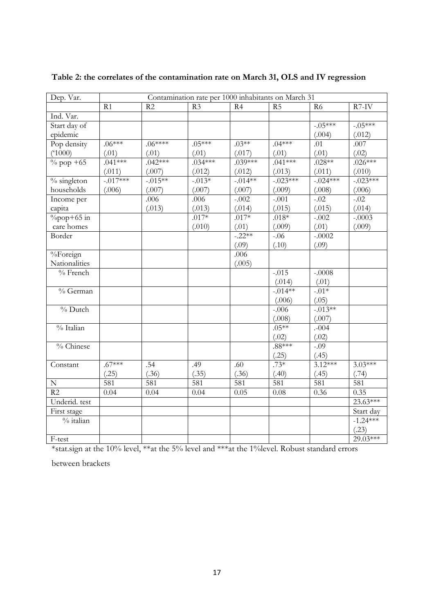| Dep. Var.                    | Contamination rate per 1000 inhabitants on March 31 |            |                |           |                |             |            |
|------------------------------|-----------------------------------------------------|------------|----------------|-----------|----------------|-------------|------------|
|                              | R1                                                  | R2         | R <sub>3</sub> | R4        | R <sub>5</sub> | R6          | $R7-IV$    |
| Ind. Var.                    |                                                     |            |                |           |                |             |            |
| Start day of                 |                                                     |            |                |           |                | $-05***$    | $-.05***$  |
| epidemic                     |                                                     |            |                |           |                | (.004)      | (.012)     |
| Pop density                  | $.06***$                                            | $.06****$  | $.05***$       | $.03**$   | $.04***$       | .01         | .007       |
| (51000)                      | (.01)                                               | (.01)      | (.01)          | (.017)    | (.01)          | (.01)       | (.02)      |
| $\%$ pop $\frac{+65}{ }$     | $.041***$                                           | $.042***$  | $.034***$      | $.039***$ | $.041***$      | $.028**$    | $.026***$  |
|                              | (.011)                                              | (.007)     | (.012)         | (.012)    | (.013)         | (.011)      | (.010)     |
| $\frac{6}{6}$ singleton      | $-.017***$                                          | $-0.015**$ | $-0.013*$      | $-.014**$ | $-0.023***$    | $-0.024***$ | $-.023***$ |
| households                   | (.006)                                              | (.007)     | (.007)         | (.007)    | (.009)         | (.008)      | (.006)     |
| Income per                   |                                                     | .006       | .006           | $-.002$   | $-.001$        | $-0.02$     | $-0.02$    |
| capita                       |                                                     | (.013)     | (.013)         | (.014)    | (.015)         | (.015)      | (.014)     |
| $\sqrt[9]{\text{opp}+65}$ in |                                                     |            | $.017*$        | $.017*$   | $.018*$        | $-.002$     | $-.0003$   |
| care homes                   |                                                     |            | (.010)         | (.01)     | (.009)         | (.01)       | (.009)     |
| Border                       |                                                     |            |                | $-.22**$  | $-.06$         | $-.0002$    |            |
|                              |                                                     |            |                | (.09)     | (.10)          | (.09)       |            |
| %Foreign                     |                                                     |            |                | .006      |                |             |            |
| Nationalities                |                                                     |            |                | (.005)    |                |             |            |
| % French                     |                                                     |            |                |           | $-.015$        | $-.0008$    |            |
|                              |                                                     |            |                |           | (.014)         | (.01)       |            |
| % German                     |                                                     |            |                |           | $-0.014**$     | $-.01*$     |            |
|                              |                                                     |            |                |           | (.006)         | (.05)       |            |
| $%$ Dutch                    |                                                     |            |                |           | $-.006$        | $-0.013**$  |            |
|                              |                                                     |            |                |           | (.008)         | (.007)      |            |
| % Italian                    |                                                     |            |                |           | $.05***$       | .004        |            |
|                              |                                                     |            |                |           | (.02)          | (.02)       |            |
| % Chinese                    |                                                     |            |                |           | $.88***$       | $-.09$      |            |
|                              |                                                     |            |                |           | (.25)          | (.45)       |            |
| Constant                     | $.67***$                                            | .54        | .49            | .60       | $.73*$         | $3.12***$   | $3.03***$  |
|                              | (.25)                                               | (.36)      | (.35)          | (.36)     | (.40)          | (.45)       | (.74)      |
| ${\bf N}$                    | 581                                                 | 581        | 581            | 581       | 581            | 581         | 581        |
| $\overline{R2}$              | 0.04                                                | 0.04       | 0.04           | 0.05      | 0.08           | 0.36        | 0.35       |
| Underid. test                |                                                     |            |                |           |                |             | $23.63***$ |
| First stage                  |                                                     |            |                |           |                |             | Start day  |
| $%$ italian                  |                                                     |            |                |           |                |             | $-1.24***$ |
|                              |                                                     |            |                |           |                |             | (.23)      |
| F-test                       |                                                     |            |                |           |                |             | 29.03***   |

**Table 2: the correlates of the contamination rate on March 31, OLS and IV regression**

\*stat.sign at the 10% level, \*\*at the 5% level and \*\*\*at the 1%level. Robust standard errors

between brackets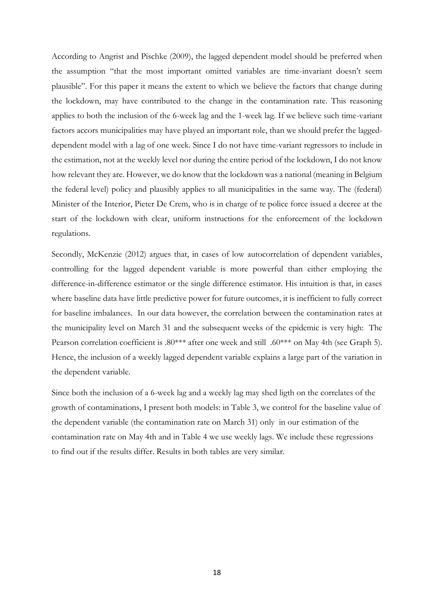According to Angrist and Pischke (2009), the lagged dependent model should be preferred when the assumption "that the most important omitted variables are time-invariant doesn't seem plausible". For this paper it means the extent to which we believe the factors that change during the lockdown, may have contributed to the change in the contamination rate. This reasoning applies to both the inclusion of the 6-week lag and the 1-week lag. If we believe such time-variant factors accors municipalities may have played an important role, than we should prefer the laggeddependent model with a lag of one week. Since I do not have time-variant regressors to include in the estimation, not at the weekly level nor during the entire period of the lockdown, I do not know how relevant they are. However, we do know that the lockdown was a national (meaning in Belgium the federal level) policy and plausibly applies to all municipalities in the same way. The (federal) Minister of the Interior, Pieter De Crem, who is in charge of te police force issued a decree at the start of the lockdown with clear, uniform instructions for the enforcement of the lockdown regulations.

Secondly, McKenzie (2012) argues that, in cases of low autocorrelation of dependent variables, controlling for the lagged dependent variable is more powerful than either employing the difference-in-difference estimator or the single difference estimator. His intuition is that, in cases where baseline data have little predictive power for future outcomes, it is inefficient to fully correct for baseline imbalances. In our data however, the correlation between the contamination rates at the municipality level on March 31 and the subsequent weeks of the epidemic is very high: The Pearson correlation coefficient is .80\*\*\* after one week and still .60\*\*\* on May 4th (see Graph 5). Hence, the inclusion of a weekly lagged dependent variable explains a large part of the variation in the dependent variable.

Since both the inclusion of a 6-week lag and a weekly lag may shed ligth on the correlates of the growth of contaminations, I present both models: in Table 3, we control for the baseline value of the dependent variable (the contamination rate on March 31) only in our estimation of the contamination rate on May 4th and in Table 4 we use weekly lags. We include these regressions to find out if the results differ. Results in both tables are very similar.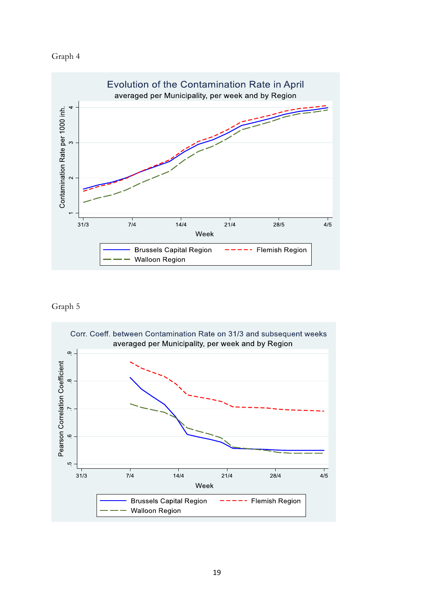# Graph 4



# Graph 5

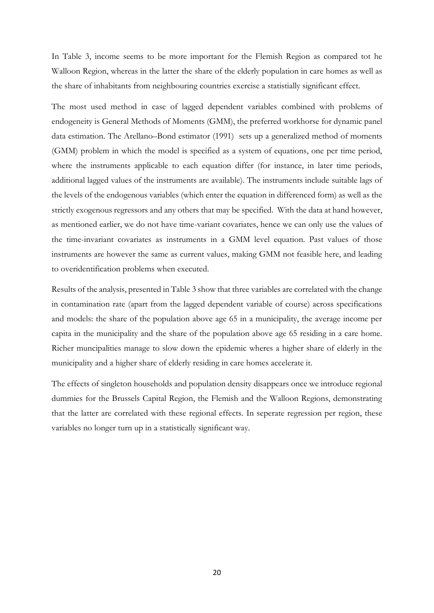In Table 3, income seems to be more important for the Flemish Region as compared tot he Walloon Region, whereas in the latter the share of the elderly population in care homes as well as the share of inhabitants from neighbouring countries exercise a statistially significant effect.

The most used method in case of lagged dependent variables combined with problems of endogeneity is General Methods of Moments (GMM), the preferred workhorse for dynamic panel data estimation. The Arellano–Bond estimator (1991) sets up a generalized method of moments (GMM) problem in which the model is specified as a system of equations, one per time period, where the instruments applicable to each equation differ (for instance, in later time periods, additional lagged values of the instruments are available). The instruments include suitable lags of the levels of the endogenous variables (which enter the equation in differenced form) as well as the strictly exogenous regressors and any others that may be specified. With the data at hand however, as mentioned earlier, we do not have time-variant covariates, hence we can only use the values of the time-invariant covariates as instruments in a GMM level equation. Past values of those instruments are however the same as current values, making GMM not feasible here, and leading to overidentification problems when executed.

Results of the analysis, presented in Table 3 show that three variables are correlated with the change in contamination rate (apart from the lagged dependent variable of course) across specifications and models: the share of the population above age 65 in a municipality, the average income per capita in the municipality and the share of the population above age 65 residing in a care home. Richer muncipalities manage to slow down the epidemic wheres a higher share of elderly in the municipality and a higher share of elderly residing in care homes accelerate it.

The effects of singleton households and population density disappears once we introduce regional dummies for the Brussels Capital Region, the Flemish and the Walloon Regions, demonstrating that the latter are correlated with these regional effects. In seperate regression per region, these variables no longer turn up in a statistically significant way.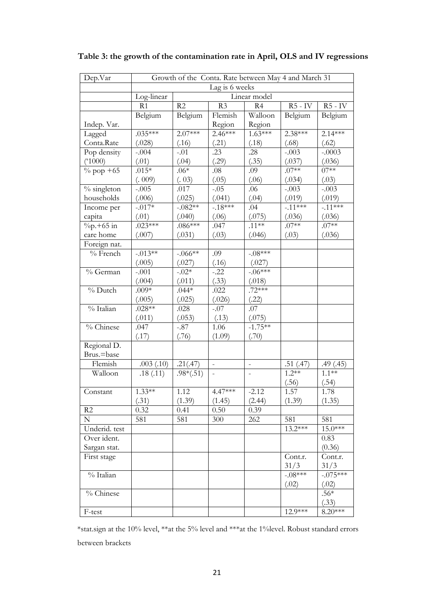| Dep.Var        | Growth of the Conta. Rate between May 4 and March 31 |             |                          |                          |           |            |  |
|----------------|------------------------------------------------------|-------------|--------------------------|--------------------------|-----------|------------|--|
|                | Lag is 6 weeks                                       |             |                          |                          |           |            |  |
|                | Log-linear<br>Linear model                           |             |                          |                          |           |            |  |
|                | R1                                                   | R2          | R <sub>3</sub>           | R4                       | $R5 - IV$ | $R5 - IV$  |  |
|                | Belgium                                              | Belgium     | Flemish                  | Walloon                  | Belgium   | Belgium    |  |
| Indep. Var.    |                                                      |             | Region                   | Region                   |           |            |  |
| Lagged         | $.035***$                                            | $2.07***$   | $2.46***$                | $1.63***$                | $2.38***$ | $2.14***$  |  |
| Conta.Rate     | (.028)                                               | (.16)       | (.21)                    | (.18)                    | (.68)     | (.62)      |  |
| Pop density    | $-.004$                                              | $-.01$      | .23                      | .28                      | $-.003$   | $-.0003$   |  |
| $(*1000)$      | (.01)                                                | (.04)       | (.29)                    | (.35)                    | (.037)    | (.036)     |  |
| $\%$ pop +65   | $.015*$                                              | $.06*$      | .08                      | .09                      | $.07**$   | $07**$     |  |
|                | (.009)                                               | (. 03)      | (.05)                    | (.06)                    | (.034)    | (.03)      |  |
| $%$ singleton  | $-.005$                                              | .017        | $-.05$                   | .06                      | $-.003$   | $-.003$    |  |
| households     | (.006)                                               | (.025)      | (.041)                   | (.04)                    | (.019)    | (.019)     |  |
| Income per     | $-.017*$                                             | $-.082**$   | $-18***$                 | .04                      | $-.11***$ | $-.11***$  |  |
| capita         | (.01)                                                | (.040)      | (.06)                    | (.075)                   | (.036)    | (.036)     |  |
| $\%p.+65$ in   | $.023***$                                            | $.086***$   | .047                     | $.11***$                 | $.07**$   | $.07**$    |  |
| care home      | (.007)                                               | (.031)      | (.03)                    | (.046)                   | (.03)     | (.036)     |  |
| Foreign nat.   |                                                      |             |                          |                          |           |            |  |
| $%$ French     | $-0.013**$                                           | $-.066**$   | .09                      | $-.08***$                |           |            |  |
|                | (.005)                                               | (.027)      | (.16)                    | (.027)                   |           |            |  |
| % German       | $-.001$                                              | $-.02*$     | $-.22$                   | $-.06***$                |           |            |  |
|                | (.004)                                               | (.011)      | (.33)                    | (.018)                   |           |            |  |
| $%$ Dutch      | $.009*$                                              | $.044*$     | .022                     | $.72***$                 |           |            |  |
|                | (.005)                                               | (.025)      | (.026)                   | (.22)                    |           |            |  |
| % Italian      | $.028**$                                             | .028        | $-.07$                   | .07                      |           |            |  |
|                | (.011)                                               | (.053)      | (.13)                    | (.075)                   |           |            |  |
| % Chinese      | .047                                                 | $-.87$      | 1.06                     | $-1.75**$                |           |            |  |
|                | (.17)                                                | (.76)       | (1.09)                   | (.70)                    |           |            |  |
| Regional D.    |                                                      |             |                          |                          |           |            |  |
| Brus.=base     |                                                      |             |                          |                          |           |            |  |
| Flemish        | .003(.10)                                            | .21(.47)    | $\overline{a}$           | $\overline{\phantom{0}}$ | .51(.47)  | .49(.45)   |  |
| Walloon        | .18(.11)                                             | $.98*(.51)$ | $\overline{\phantom{a}}$ | $\overline{a}$           | $1.2**$   | $1.1***$   |  |
|                |                                                      |             |                          |                          | (.56)     | (.54)      |  |
| Constant       | $1.33**$                                             | 1.12        | $4.47***$                | $-2.12$                  | 1.57      | 1.78       |  |
|                | (.31)                                                | (1.39)      | (1.45)                   | (2.44)                   | (1.39)    | (1.35)     |  |
| R <sub>2</sub> | 0.32                                                 | 0.41        | 0.50                     | 0.39                     |           |            |  |
| $\mathbf N$    | 581                                                  | 581         | 300                      | 262                      | 581       | 581        |  |
| Underid. test  |                                                      |             |                          |                          | 13.2***   | $15.0***$  |  |
| Over ident.    |                                                      |             |                          |                          |           | 0.83       |  |
| Sargan stat.   |                                                      |             |                          |                          |           | (0.36)     |  |
| First stage    |                                                      |             |                          |                          | Cont.r.   | Cont.r.    |  |
|                |                                                      |             |                          |                          | 31/3      | 31/3       |  |
| $%$ Italian    |                                                      |             |                          |                          | $-.08***$ | $-.075***$ |  |
|                |                                                      |             |                          |                          | (.02)     | (.02)      |  |
| % Chinese      |                                                      |             |                          |                          |           | $.56*$     |  |
|                |                                                      |             |                          |                          |           | (.33)      |  |
| F-test         |                                                      |             |                          |                          | 12.9***   | $8.20***$  |  |

**Table 3: the growth of the contamination rate in April, OLS and IV regressions**

\*stat.sign at the 10% level, \*\*at the 5% level and \*\*\*at the 1%level. Robust standard errors between brackets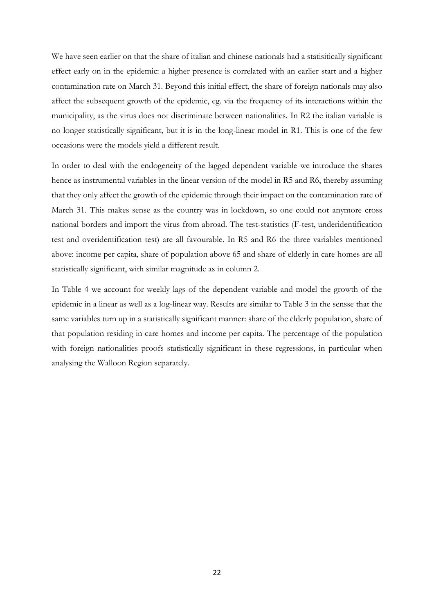We have seen earlier on that the share of italian and chinese nationals had a statisitically significant effect early on in the epidemic: a higher presence is correlated with an earlier start and a higher contamination rate on March 31. Beyond this initial effect, the share of foreign nationals may also affect the subsequent growth of the epidemic, eg. via the frequency of its interactions within the municipality, as the virus does not discriminate between nationalities. In R2 the italian variable is no longer statistically significant, but it is in the long-linear model in R1. This is one of the few occasions were the models yield a different result.

In order to deal with the endogeneity of the lagged dependent variable we introduce the shares hence as instrumental variables in the linear version of the model in R5 and R6, thereby assuming that they only affect the growth of the epidemic through their impact on the contamination rate of March 31. This makes sense as the country was in lockdown, so one could not anymore cross national borders and import the virus from abroad. The test-statistics (F-test, underidentification test and overidentification test) are all favourable. In R5 and R6 the three variables mentioned above: income per capita, share of population above 65 and share of elderly in care homes are all statistically significant, with similar magnitude as in column 2.

In Table 4 we account for weekly lags of the dependent variable and model the growth of the epidemic in a linear as well as a log-linear way. Results are similar to Table 3 in the sensse that the same variables turn up in a statistically significant manner: share of the elderly population, share of that population residing in care homes and income per capita. The percentage of the population with foreign nationalities proofs statistically significant in these regressions, in particular when analysing the Walloon Region separately.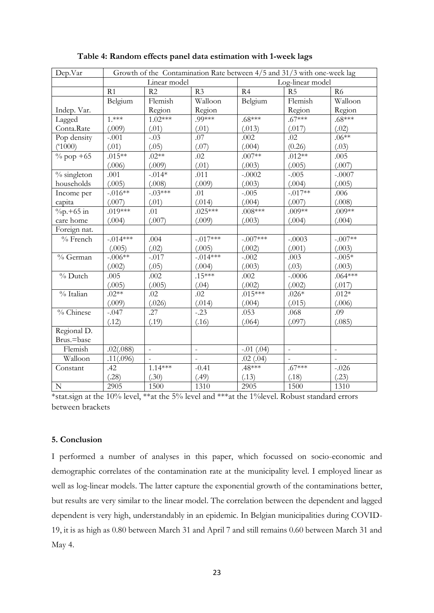| Dep.Var                | Growth of the Contamination Rate between 4/5 and 31/3 with one-week lag |               |                |                  |                |                |  |
|------------------------|-------------------------------------------------------------------------|---------------|----------------|------------------|----------------|----------------|--|
|                        | Linear model                                                            |               |                | Log-linear model |                |                |  |
|                        | R1                                                                      | R2            | R <sub>3</sub> | R4               | R <sub>5</sub> | R <sub>6</sub> |  |
|                        | Belgium                                                                 | Flemish       | Walloon        | Belgium          | Flemish        | Walloon        |  |
| Indep. Var.            |                                                                         | Region        | Region         |                  | Region         | Region         |  |
| Lagged                 | $1.***$                                                                 | $1.02***$     | $.99***$       | $.68***$         | $.67***$       | $.68***$       |  |
| Conta.Rate             | (.009)                                                                  | (.01)         | (.01)          | (.013)           | (.017)         | (.02)          |  |
| Pop density            | $-.001$                                                                 | $-.03$        | .07            | .002             | .02            | $.06**$        |  |
| (51000)                | (.01)                                                                   | (.05)         | (.07)          | (.004)           | (0.26)         | (.03)          |  |
| $\%$ pop +65           | $.015**$                                                                | $.02**$       | .02            | $.007**$         | $.012**$       | .005           |  |
|                        | (.006)                                                                  | (.009)        | (.01)          | (.003)           | (.005)         | (.007)         |  |
| $%$ singleton          | .001                                                                    | $-.014*$      | .011           | $-.0002$         | $-.005$        | $-.0007$       |  |
| households             | (.005)                                                                  | (.008)        | (.009)         | (.003)           | (.004)         | (.005)         |  |
| Income per             | $-.016**$                                                               | $-.03***$     | .01            | $-.005$          | $-.017**$      | .006           |  |
| capita                 | (.007)                                                                  | (.01)         | (.014)         | (.004)           | (.007)         | (.008)         |  |
| $\frac{9}{9}$ , +65 in | $.019***$                                                               | .01           | $.025***$      | $.008***$        | $.009**$       | $.009*$        |  |
| care home              | (.004)                                                                  | (.007)        | (.009)         | (.003)           | (.004)         | (.004)         |  |
| Foreign nat.           |                                                                         |               |                |                  |                |                |  |
| $%$ French             | $-0.014***$                                                             | .004          | $-.017***$     | $-.007***$       | $-.0003$       | $-.007**$      |  |
|                        | (.005)                                                                  | (.02)         | (.005)         | (.002)           | (.001)         | (.003)         |  |
| % German               | $-.006**$                                                               | $-.017$       | $-.014***$     | $-.002$          | .003           | $-.005*$       |  |
|                        | (.002)                                                                  | (.05)         | (.004)         | (.003)           | (.03)          | (.003)         |  |
| $%$ Dutch              | .005                                                                    | .002          | $.15***$       | .002             | $-.0006$       | $.064***$      |  |
|                        | (.005)                                                                  | (.005)        | (.04)          | (.002)           | (.002)         | (.017)         |  |
| % Italian              | $.02**$                                                                 | .02           | .02            | $.015***$        | $.026*$        | $.012*$        |  |
|                        | (.009)                                                                  | (.026)        | (.014)         | (.004)           | (.015)         | (.006)         |  |
| % Chinese              | $-.047$                                                                 | .27           | $-.23$         | .053             | .068           | .09            |  |
|                        | (.12)                                                                   | (.19)         | (.16)          | (.064)           | (.097)         | (.085)         |  |
| Regional D.            |                                                                         |               |                |                  |                |                |  |
| Brus.=base             |                                                                         |               |                |                  |                |                |  |
| Flemish                | .02(.088)                                                               | $\frac{1}{2}$ | $\overline{a}$ | $-.01$ $(.04)$   | $\overline{a}$ | $\overline{a}$ |  |
| Walloon                | .11(.096)                                                               |               | $\overline{a}$ | .02(.04)         |                |                |  |
| Constant               | .42                                                                     | $1.14***$     | $-0.41$        | $.48***$         | $.67***$       | $-.026$        |  |
|                        | (.28)                                                                   | (.30)         | (.49)          | (.13)            | (.18)          | (.23)          |  |
| ${\bf N}$              | 2905                                                                    | 1500          | 1310           | 2905             | 1500           | 1310           |  |

# **Table 4: Random effects panel data estimation with 1-week lags**

\*stat.sign at the 10% level, \*\*at the 5% level and \*\*\*at the 1%level. Robust standard errors between brackets

## **5. Conclusion**

I performed a number of analyses in this paper, which focussed on socio-economic and demographic correlates of the contamination rate at the municipality level. I employed linear as well as log-linear models. The latter capture the exponential growth of the contaminations better, but results are very similar to the linear model. The correlation between the dependent and lagged dependent is very high, understandably in an epidemic. In Belgian municipalities during COVID-19, it is as high as 0.80 between March 31 and April 7 and still remains 0.60 between March 31 and May 4.